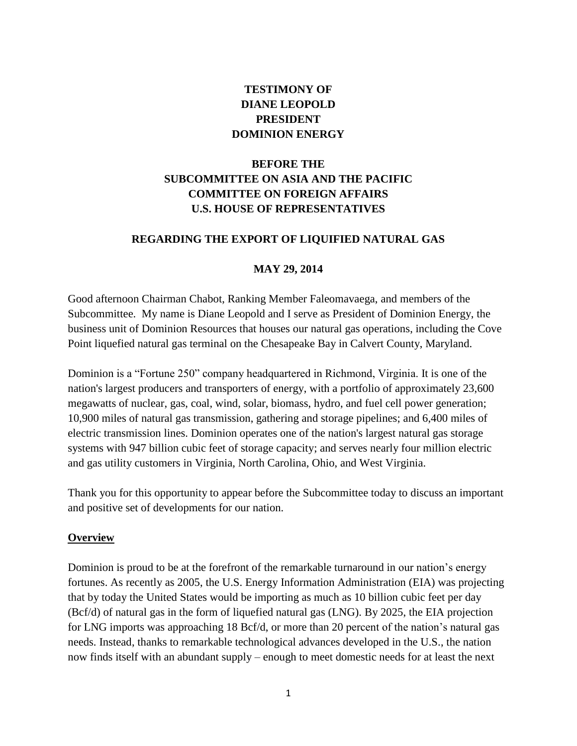# **TESTIMONY OF DIANE LEOPOLD PRESIDENT DOMINION ENERGY**

# **BEFORE THE SUBCOMMITTEE ON ASIA AND THE PACIFIC COMMITTEE ON FOREIGN AFFAIRS U.S. HOUSE OF REPRESENTATIVES**

#### **REGARDING THE EXPORT OF LIQUIFIED NATURAL GAS**

#### **MAY 29, 2014**

Good afternoon Chairman Chabot, Ranking Member Faleomavaega, and members of the Subcommittee. My name is Diane Leopold and I serve as President of Dominion Energy, the business unit of Dominion Resources that houses our natural gas operations, including the Cove Point liquefied natural gas terminal on the Chesapeake Bay in Calvert County, Maryland.

Dominion is a "Fortune 250" company headquartered in Richmond, Virginia. It is one of the nation's largest producers and transporters of energy, with a portfolio of approximately 23,600 megawatts of nuclear, gas, coal, wind, solar, biomass, hydro, and fuel cell power generation; 10,900 miles of natural gas transmission, gathering and storage pipelines; and 6,400 miles of electric transmission lines. Dominion operates one of the nation's largest natural gas storage systems with 947 billion cubic feet of storage capacity; and serves nearly four million electric and gas utility customers in Virginia, North Carolina, Ohio, and West Virginia.

Thank you for this opportunity to appear before the Subcommittee today to discuss an important and positive set of developments for our nation.

#### **Overview**

Dominion is proud to be at the forefront of the remarkable turnaround in our nation's energy fortunes. As recently as 2005, the U.S. Energy Information Administration (EIA) was projecting that by today the United States would be importing as much as 10 billion cubic feet per day (Bcf/d) of natural gas in the form of liquefied natural gas (LNG). By 2025, the EIA projection for LNG imports was approaching 18 Bcf/d, or more than 20 percent of the nation's natural gas needs. Instead, thanks to remarkable technological advances developed in the U.S., the nation now finds itself with an abundant supply – enough to meet domestic needs for at least the next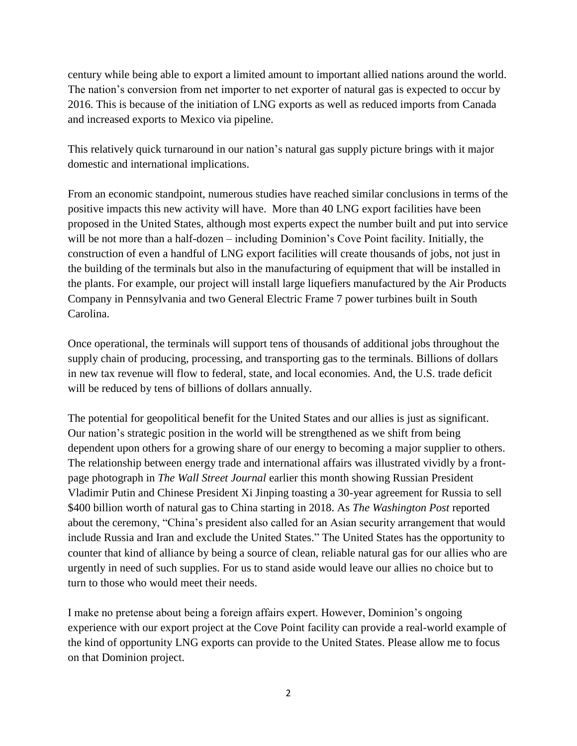century while being able to export a limited amount to important allied nations around the world. The nation's conversion from net importer to net exporter of natural gas is expected to occur by 2016. This is because of the initiation of LNG exports as well as reduced imports from Canada and increased exports to Mexico via pipeline.

This relatively quick turnaround in our nation's natural gas supply picture brings with it major domestic and international implications.

From an economic standpoint, numerous studies have reached similar conclusions in terms of the positive impacts this new activity will have. More than 40 LNG export facilities have been proposed in the United States, although most experts expect the number built and put into service will be not more than a half-dozen – including Dominion's Cove Point facility. Initially, the construction of even a handful of LNG export facilities will create thousands of jobs, not just in the building of the terminals but also in the manufacturing of equipment that will be installed in the plants. For example, our project will install large liquefiers manufactured by the Air Products Company in Pennsylvania and two General Electric Frame 7 power turbines built in South Carolina.

Once operational, the terminals will support tens of thousands of additional jobs throughout the supply chain of producing, processing, and transporting gas to the terminals. Billions of dollars in new tax revenue will flow to federal, state, and local economies. And, the U.S. trade deficit will be reduced by tens of billions of dollars annually.

The potential for geopolitical benefit for the United States and our allies is just as significant. Our nation's strategic position in the world will be strengthened as we shift from being dependent upon others for a growing share of our energy to becoming a major supplier to others. The relationship between energy trade and international affairs was illustrated vividly by a frontpage photograph in *The Wall Street Journal* earlier this month showing Russian President Vladimir Putin and Chinese President Xi Jinping toasting a 30-year agreement for Russia to sell \$400 billion worth of natural gas to China starting in 2018. As *The Washington Post* reported about the ceremony, "China's president also called for an Asian security arrangement that would include Russia and Iran and exclude the United States." The United States has the opportunity to counter that kind of alliance by being a source of clean, reliable natural gas for our allies who are urgently in need of such supplies. For us to stand aside would leave our allies no choice but to turn to those who would meet their needs.

I make no pretense about being a foreign affairs expert. However, Dominion's ongoing experience with our export project at the Cove Point facility can provide a real-world example of the kind of opportunity LNG exports can provide to the United States. Please allow me to focus on that Dominion project.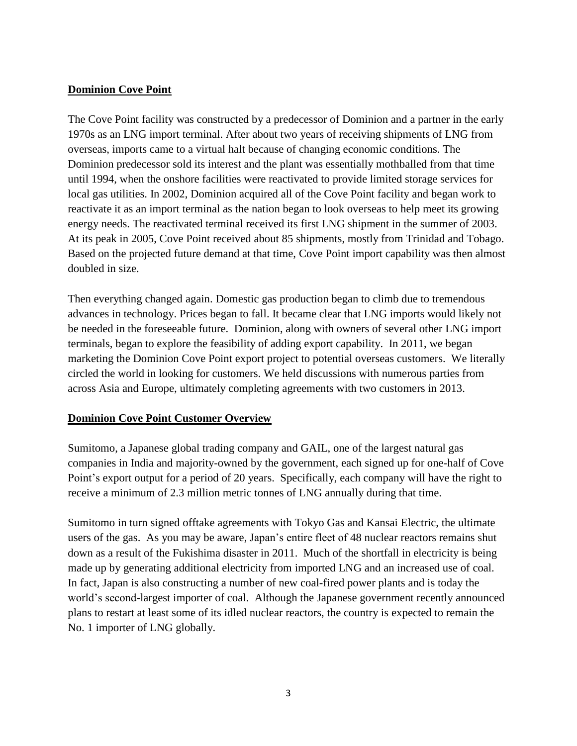#### **Dominion Cove Point**

The Cove Point facility was constructed by a predecessor of Dominion and a partner in the early 1970s as an LNG import terminal. After about two years of receiving shipments of LNG from overseas, imports came to a virtual halt because of changing economic conditions. The Dominion predecessor sold its interest and the plant was essentially mothballed from that time until 1994, when the onshore facilities were reactivated to provide limited storage services for local gas utilities. In 2002, Dominion acquired all of the Cove Point facility and began work to reactivate it as an import terminal as the nation began to look overseas to help meet its growing energy needs. The reactivated terminal received its first LNG shipment in the summer of 2003. At its peak in 2005, Cove Point received about 85 shipments, mostly from Trinidad and Tobago. Based on the projected future demand at that time, Cove Point import capability was then almost doubled in size.

Then everything changed again. Domestic gas production began to climb due to tremendous advances in technology. Prices began to fall. It became clear that LNG imports would likely not be needed in the foreseeable future. Dominion, along with owners of several other LNG import terminals, began to explore the feasibility of adding export capability. In 2011, we began marketing the Dominion Cove Point export project to potential overseas customers. We literally circled the world in looking for customers. We held discussions with numerous parties from across Asia and Europe, ultimately completing agreements with two customers in 2013.

### **Dominion Cove Point Customer Overview**

Sumitomo, a Japanese global trading company and GAIL, one of the largest natural gas companies in India and majority-owned by the government, each signed up for one-half of Cove Point's export output for a period of 20 years. Specifically, each company will have the right to receive a minimum of 2.3 million metric tonnes of LNG annually during that time.

Sumitomo in turn signed offtake agreements with Tokyo Gas and Kansai Electric, the ultimate users of the gas. As you may be aware, Japan's entire fleet of 48 nuclear reactors remains shut down as a result of the Fukishima disaster in 2011. Much of the shortfall in electricity is being made up by generating additional electricity from imported LNG and an increased use of coal. In fact, Japan is also constructing a number of new coal-fired power plants and is today the world's second-largest importer of coal. Although the Japanese government recently announced plans to restart at least some of its idled nuclear reactors, the country is expected to remain the No. 1 importer of LNG globally.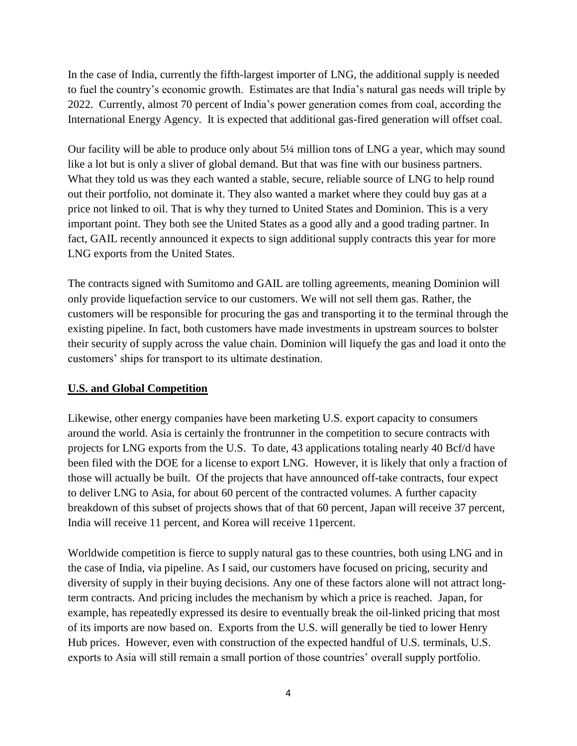In the case of India, currently the fifth-largest importer of LNG, the additional supply is needed to fuel the country's economic growth. Estimates are that India's natural gas needs will triple by 2022. Currently, almost 70 percent of India's power generation comes from coal, according the International Energy Agency. It is expected that additional gas-fired generation will offset coal.

Our facility will be able to produce only about 5¼ million tons of LNG a year, which may sound like a lot but is only a sliver of global demand. But that was fine with our business partners. What they told us was they each wanted a stable, secure, reliable source of LNG to help round out their portfolio, not dominate it. They also wanted a market where they could buy gas at a price not linked to oil. That is why they turned to United States and Dominion. This is a very important point. They both see the United States as a good ally and a good trading partner. In fact, GAIL recently announced it expects to sign additional supply contracts this year for more LNG exports from the United States.

The contracts signed with Sumitomo and GAIL are tolling agreements, meaning Dominion will only provide liquefaction service to our customers. We will not sell them gas. Rather, the customers will be responsible for procuring the gas and transporting it to the terminal through the existing pipeline. In fact, both customers have made investments in upstream sources to bolster their security of supply across the value chain. Dominion will liquefy the gas and load it onto the customers' ships for transport to its ultimate destination.

### **U.S. and Global Competition**

Likewise, other energy companies have been marketing U.S. export capacity to consumers around the world. Asia is certainly the frontrunner in the competition to secure contracts with projects for LNG exports from the U.S. To date, 43 applications totaling nearly 40 Bcf/d have been filed with the DOE for a license to export LNG. However, it is likely that only a fraction of those will actually be built. Of the projects that have announced off-take contracts, four expect to deliver LNG to Asia, for about 60 percent of the contracted volumes. A further capacity breakdown of this subset of projects shows that of that 60 percent, Japan will receive 37 percent, India will receive 11 percent, and Korea will receive 11percent.

Worldwide competition is fierce to supply natural gas to these countries, both using LNG and in the case of India, via pipeline. As I said, our customers have focused on pricing, security and diversity of supply in their buying decisions. Any one of these factors alone will not attract longterm contracts. And pricing includes the mechanism by which a price is reached. Japan, for example, has repeatedly expressed its desire to eventually break the oil-linked pricing that most of its imports are now based on. Exports from the U.S. will generally be tied to lower Henry Hub prices. However, even with construction of the expected handful of U.S. terminals, U.S. exports to Asia will still remain a small portion of those countries' overall supply portfolio.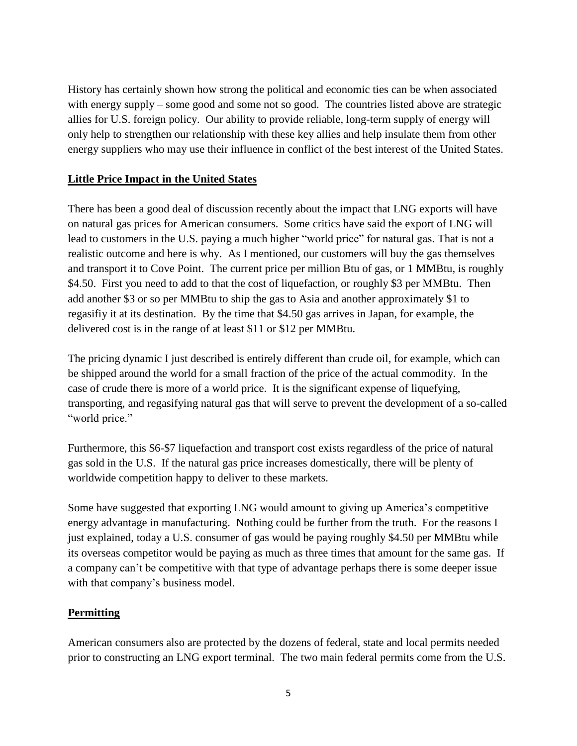History has certainly shown how strong the political and economic ties can be when associated with energy supply – some good and some not so good. The countries listed above are strategic allies for U.S. foreign policy. Our ability to provide reliable, long-term supply of energy will only help to strengthen our relationship with these key allies and help insulate them from other energy suppliers who may use their influence in conflict of the best interest of the United States.

### **Little Price Impact in the United States**

There has been a good deal of discussion recently about the impact that LNG exports will have on natural gas prices for American consumers. Some critics have said the export of LNG will lead to customers in the U.S. paying a much higher "world price" for natural gas. That is not a realistic outcome and here is why. As I mentioned, our customers will buy the gas themselves and transport it to Cove Point. The current price per million Btu of gas, or 1 MMBtu, is roughly \$4.50. First you need to add to that the cost of liquefaction, or roughly \$3 per MMBtu. Then add another \$3 or so per MMBtu to ship the gas to Asia and another approximately \$1 to regasifiy it at its destination. By the time that \$4.50 gas arrives in Japan, for example, the delivered cost is in the range of at least \$11 or \$12 per MMBtu.

The pricing dynamic I just described is entirely different than crude oil, for example, which can be shipped around the world for a small fraction of the price of the actual commodity. In the case of crude there is more of a world price. It is the significant expense of liquefying, transporting, and regasifying natural gas that will serve to prevent the development of a so-called "world price."

Furthermore, this \$6-\$7 liquefaction and transport cost exists regardless of the price of natural gas sold in the U.S. If the natural gas price increases domestically, there will be plenty of worldwide competition happy to deliver to these markets.

Some have suggested that exporting LNG would amount to giving up America's competitive energy advantage in manufacturing. Nothing could be further from the truth. For the reasons I just explained, today a U.S. consumer of gas would be paying roughly \$4.50 per MMBtu while its overseas competitor would be paying as much as three times that amount for the same gas. If a company can't be competitive with that type of advantage perhaps there is some deeper issue with that company's business model.

### **Permitting**

American consumers also are protected by the dozens of federal, state and local permits needed prior to constructing an LNG export terminal. The two main federal permits come from the U.S.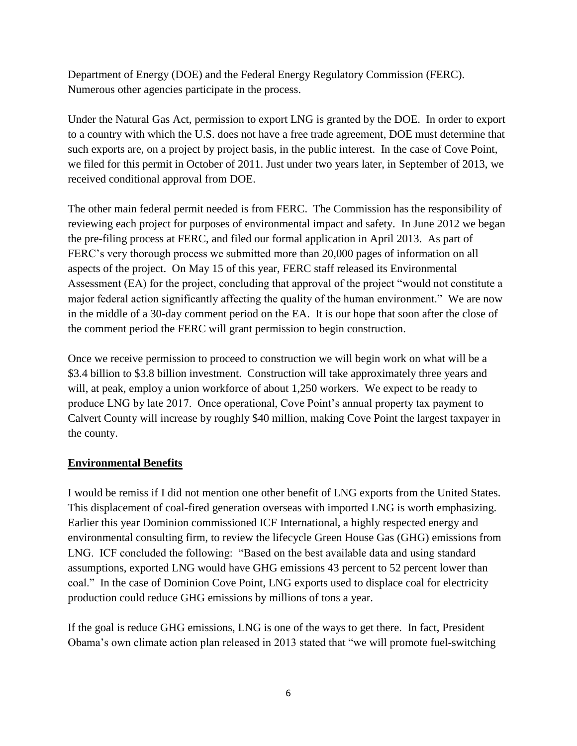Department of Energy (DOE) and the Federal Energy Regulatory Commission (FERC). Numerous other agencies participate in the process.

Under the Natural Gas Act, permission to export LNG is granted by the DOE. In order to export to a country with which the U.S. does not have a free trade agreement, DOE must determine that such exports are, on a project by project basis, in the public interest. In the case of Cove Point, we filed for this permit in October of 2011. Just under two years later, in September of 2013, we received conditional approval from DOE.

The other main federal permit needed is from FERC. The Commission has the responsibility of reviewing each project for purposes of environmental impact and safety. In June 2012 we began the pre-filing process at FERC, and filed our formal application in April 2013. As part of FERC's very thorough process we submitted more than 20,000 pages of information on all aspects of the project. On May 15 of this year, FERC staff released its Environmental Assessment (EA) for the project, concluding that approval of the project "would not constitute a major federal action significantly affecting the quality of the human environment." We are now in the middle of a 30-day comment period on the EA. It is our hope that soon after the close of the comment period the FERC will grant permission to begin construction.

Once we receive permission to proceed to construction we will begin work on what will be a \$3.4 billion to \$3.8 billion investment. Construction will take approximately three years and will, at peak, employ a union workforce of about 1,250 workers. We expect to be ready to produce LNG by late 2017. Once operational, Cove Point's annual property tax payment to Calvert County will increase by roughly \$40 million, making Cove Point the largest taxpayer in the county.

## **Environmental Benefits**

I would be remiss if I did not mention one other benefit of LNG exports from the United States. This displacement of coal-fired generation overseas with imported LNG is worth emphasizing. Earlier this year Dominion commissioned ICF International, a highly respected energy and environmental consulting firm, to review the lifecycle Green House Gas (GHG) emissions from LNG. ICF concluded the following: "Based on the best available data and using standard assumptions, exported LNG would have GHG emissions 43 percent to 52 percent lower than coal." In the case of Dominion Cove Point, LNG exports used to displace coal for electricity production could reduce GHG emissions by millions of tons a year.

If the goal is reduce GHG emissions, LNG is one of the ways to get there. In fact, President Obama's own climate action plan released in 2013 stated that "we will promote fuel-switching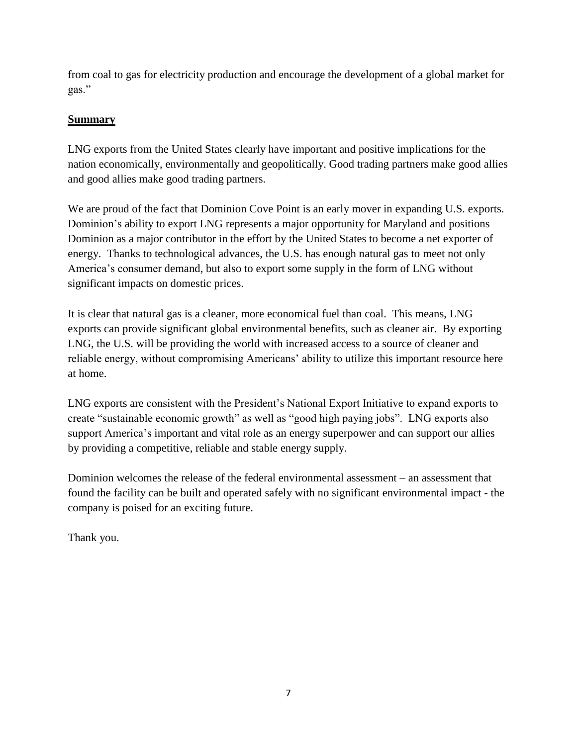from coal to gas for electricity production and encourage the development of a global market for gas."

## **Summary**

LNG exports from the United States clearly have important and positive implications for the nation economically, environmentally and geopolitically. Good trading partners make good allies and good allies make good trading partners.

We are proud of the fact that Dominion Cove Point is an early mover in expanding U.S. exports. Dominion's ability to export LNG represents a major opportunity for Maryland and positions Dominion as a major contributor in the effort by the United States to become a net exporter of energy. Thanks to technological advances, the U.S. has enough natural gas to meet not only America's consumer demand, but also to export some supply in the form of LNG without significant impacts on domestic prices.

It is clear that natural gas is a cleaner, more economical fuel than coal. This means, LNG exports can provide significant global environmental benefits, such as cleaner air. By exporting LNG, the U.S. will be providing the world with increased access to a source of cleaner and reliable energy, without compromising Americans' ability to utilize this important resource here at home.

LNG exports are consistent with the President's National Export Initiative to expand exports to create "sustainable economic growth" as well as "good high paying jobs". LNG exports also support America's important and vital role as an energy superpower and can support our allies by providing a competitive, reliable and stable energy supply.

Dominion welcomes the release of the federal environmental assessment – an assessment that found the facility can be built and operated safely with no significant environmental impact - the company is poised for an exciting future.

Thank you.